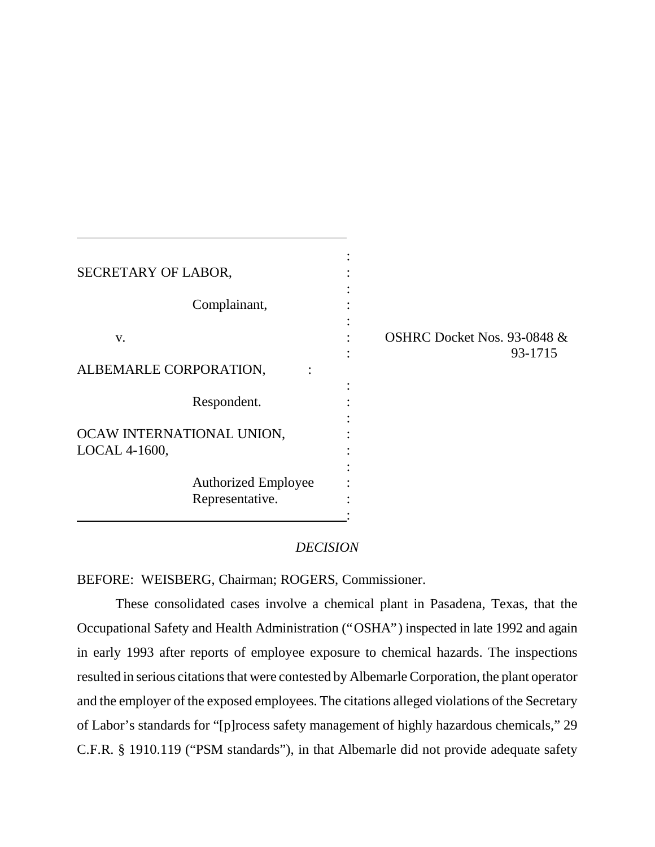| SECRETARY OF LABOR,                           |                                        |
|-----------------------------------------------|----------------------------------------|
| Complainant,                                  |                                        |
| V.<br>ALBEMARLE CORPORATION,                  | OSHRC Docket Nos. 93-0848 &<br>93-1715 |
| Respondent.                                   |                                        |
| OCAW INTERNATIONAL UNION,<br>LOCAL 4-1600,    |                                        |
| <b>Authorized Employee</b><br>Representative. |                                        |

## *DECISION*

BEFORE: WEISBERG, Chairman; ROGERS, Commissioner.

These consolidated cases involve a chemical plant in Pasadena, Texas, that the Occupational Safety and Health Administration ("OSHA") inspected in late 1992 and again in early 1993 after reports of employee exposure to chemical hazards. The inspections resulted in serious citations that were contested by Albemarle Corporation, the plant operator and the employer of the exposed employees. The citations alleged violations of the Secretary of Labor's standards for "[p]rocess safety management of highly hazardous chemicals," 29 C.F.R. § 1910.119 ("PSM standards"), in that Albemarle did not provide adequate safety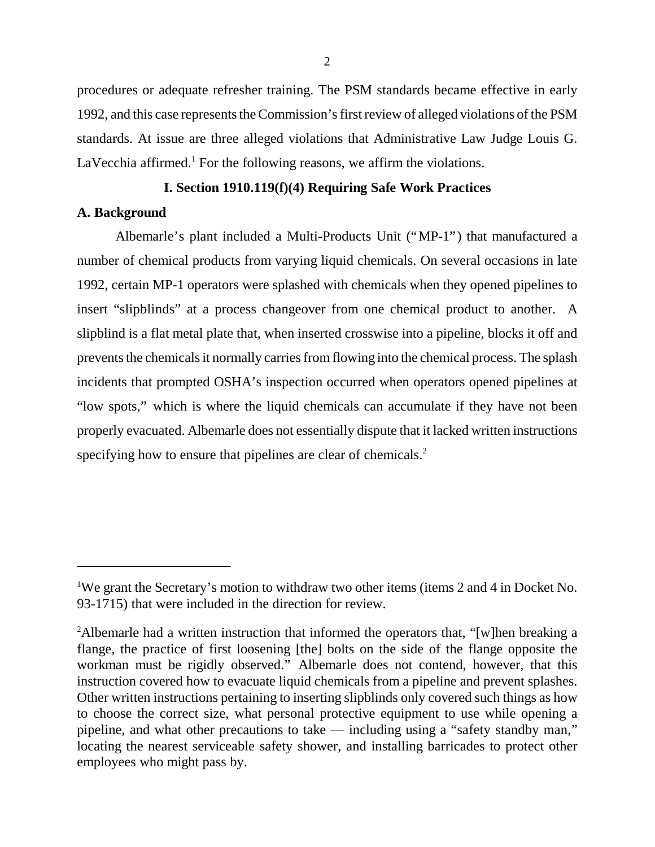procedures or adequate refresher training. The PSM standards became effective in early 1992, and this case represents the Commission's first review of alleged violations of the PSM standards. At issue are three alleged violations that Administrative Law Judge Louis G. LaVecchia affirmed.<sup>1</sup> For the following reasons, we affirm the violations.

# **I. Section 1910.119(f)(4) Requiring Safe Work Practices**

## **A. Background**

Albemarle's plant included a Multi-Products Unit ("MP-1") that manufactured a number of chemical products from varying liquid chemicals. On several occasions in late 1992, certain MP-1 operators were splashed with chemicals when they opened pipelines to insert "slipblinds" at a process changeover from one chemical product to another. A slipblind is a flat metal plate that, when inserted crosswise into a pipeline, blocks it off and prevents the chemicals it normally carries from flowing into the chemical process. The splash incidents that prompted OSHA's inspection occurred when operators opened pipelines at "low spots," which is where the liquid chemicals can accumulate if they have not been properly evacuated. Albemarle does not essentially dispute that it lacked written instructions specifying how to ensure that pipelines are clear of chemicals.<sup>2</sup>

<sup>&</sup>lt;sup>1</sup>We grant the Secretary's motion to withdraw two other items (items 2 and 4 in Docket No. 93-1715) that were included in the direction for review.

<sup>&</sup>lt;sup>2</sup>Albemarle had a written instruction that informed the operators that, "[w]hen breaking a flange, the practice of first loosening [the] bolts on the side of the flange opposite the workman must be rigidly observed." Albemarle does not contend, however, that this instruction covered how to evacuate liquid chemicals from a pipeline and prevent splashes. Other written instructions pertaining to inserting slipblinds only covered such things as how to choose the correct size, what personal protective equipment to use while opening a pipeline, and what other precautions to take — including using a "safety standby man," locating the nearest serviceable safety shower, and installing barricades to protect other employees who might pass by.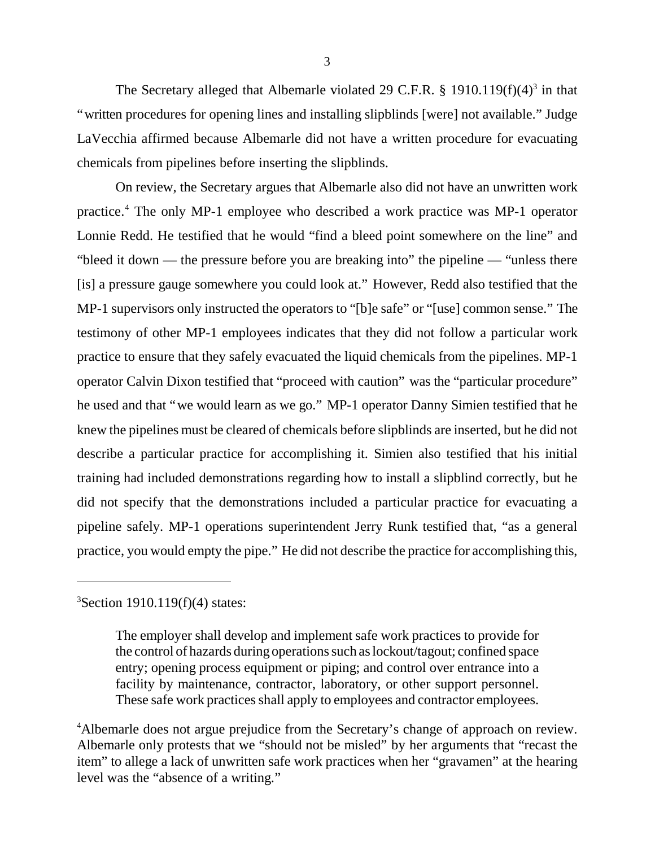The Secretary alleged that Albemarle violated 29 C.F.R. § 1910.119 $(f)(4)^3$  in that "written procedures for opening lines and installing slipblinds [were] not available." Judge LaVecchia affirmed because Albemarle did not have a written procedure for evacuating chemicals from pipelines before inserting the slipblinds.

On review, the Secretary argues that Albemarle also did not have an unwritten work practice.<sup>4</sup> The only MP-1 employee who described a work practice was MP-1 operator Lonnie Redd. He testified that he would "find a bleed point somewhere on the line" and "bleed it down — the pressure before you are breaking into" the pipeline — "unless there [is] a pressure gauge somewhere you could look at." However, Redd also testified that the MP-1 supervisors only instructed the operators to "[b]e safe" or "[use] common sense." The testimony of other MP-1 employees indicates that they did not follow a particular work practice to ensure that they safely evacuated the liquid chemicals from the pipelines. MP-1 operator Calvin Dixon testified that "proceed with caution" was the "particular procedure" he used and that "we would learn as we go." MP-1 operator Danny Simien testified that he knew the pipelines must be cleared of chemicals before slipblinds are inserted, but he did not describe a particular practice for accomplishing it. Simien also testified that his initial training had included demonstrations regarding how to install a slipblind correctly, but he did not specify that the demonstrations included a particular practice for evacuating a pipeline safely. MP-1 operations superintendent Jerry Runk testified that, "as a general practice, you would empty the pipe." He did not describe the practice for accomplishing this,

 $3$ Section 1910.119(f)(4) states:

The employer shall develop and implement safe work practices to provide for the control of hazards during operations such as lockout/tagout; confined space entry; opening process equipment or piping; and control over entrance into a facility by maintenance, contractor, laboratory, or other support personnel. These safe work practices shall apply to employees and contractor employees.

<sup>4</sup>Albemarle does not argue prejudice from the Secretary's change of approach on review. Albemarle only protests that we "should not be misled" by her arguments that "recast the item" to allege a lack of unwritten safe work practices when her "gravamen" at the hearing level was the "absence of a writing."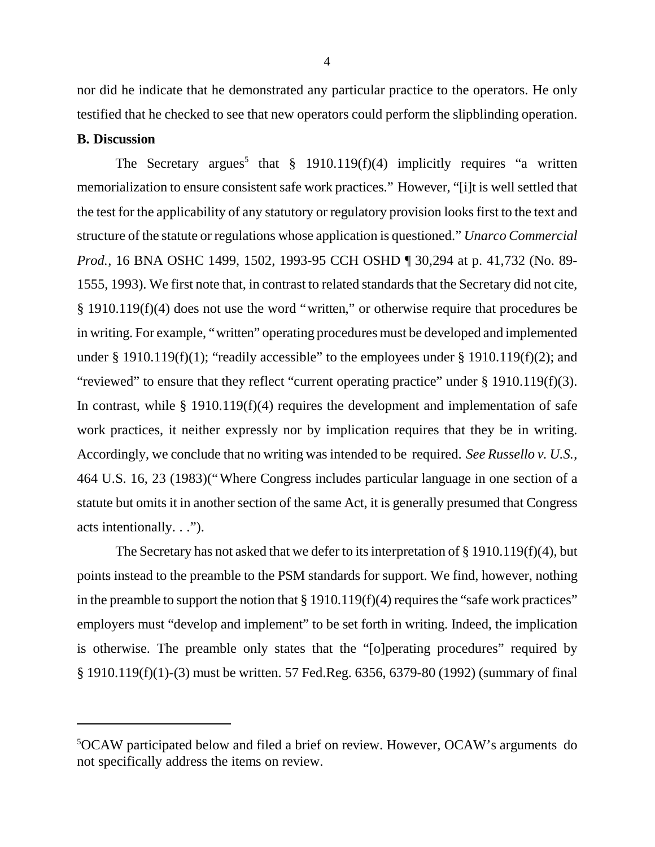nor did he indicate that he demonstrated any particular practice to the operators. He only testified that he checked to see that new operators could perform the slipblinding operation.

#### **B. Discussion**

The Secretary argues<sup>5</sup> that  $\S$  1910.119(f)(4) implicitly requires "a written memorialization to ensure consistent safe work practices." However, "[i]t is well settled that the test for the applicability of any statutory or regulatory provision looks first to the text and structure of the statute or regulations whose application is questioned." *Unarco Commercial Prod.*, 16 BNA OSHC 1499, 1502, 1993-95 CCH OSHD ¶ 30,294 at p. 41,732 (No. 89- 1555, 1993). We first note that, in contrast to related standards that the Secretary did not cite, § 1910.119(f)(4) does not use the word "written," or otherwise require that procedures be in writing. For example, "written" operating procedures must be developed and implemented under § 1910.119(f)(1); "readily accessible" to the employees under § 1910.119(f)(2); and "reviewed" to ensure that they reflect "current operating practice" under § 1910.119(f)(3). In contrast, while  $\S$  1910.119(f)(4) requires the development and implementation of safe work practices, it neither expressly nor by implication requires that they be in writing. Accordingly, we conclude that no writing was intended to be required. *See Russello v. U.S.*, 464 U.S. 16, 23 (1983)("Where Congress includes particular language in one section of a statute but omits it in another section of the same Act, it is generally presumed that Congress acts intentionally. . .").

The Secretary has not asked that we defer to its interpretation of § 1910.119(f)(4), but points instead to the preamble to the PSM standards for support. We find, however, nothing in the preamble to support the notion that  $\S 1910.119(f)(4)$  requires the "safe work practices" employers must "develop and implement" to be set forth in writing. Indeed, the implication is otherwise. The preamble only states that the "[o]perating procedures" required by § 1910.119(f)(1)-(3) must be written. 57 Fed.Reg. 6356, 6379-80 (1992) (summary of final

<sup>5</sup>OCAW participated below and filed a brief on review. However, OCAW's arguments do not specifically address the items on review.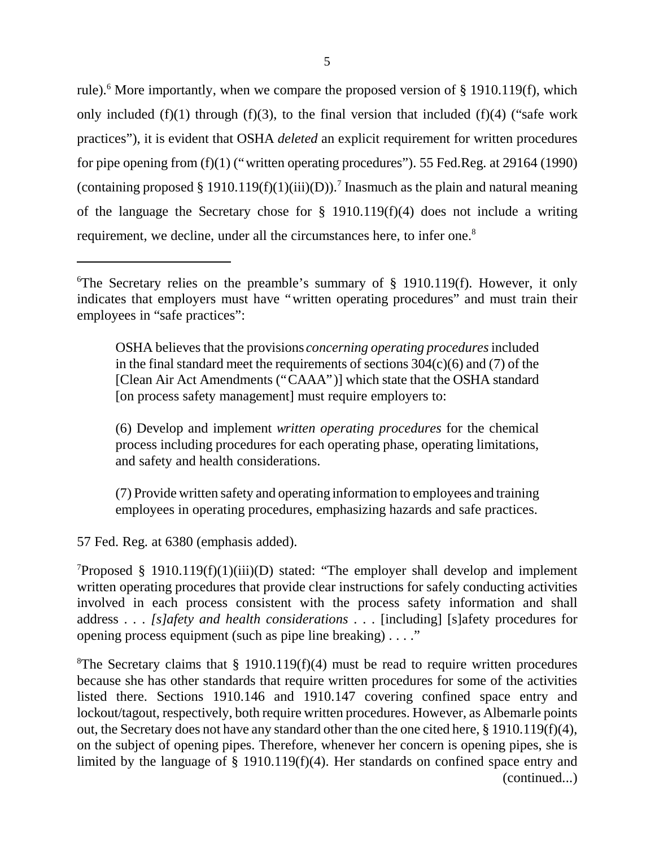rule).<sup>6</sup> More importantly, when we compare the proposed version of § 1910.119(f), which only included (f)(1) through (f)(3), to the final version that included (f)(4) ("safe work practices"), it is evident that OSHA *deleted* an explicit requirement for written procedures for pipe opening from (f)(1) ("written operating procedures"). 55 Fed.Reg. at 29164 (1990) (containing proposed § 1910.119(f)(1)(iii)(D)).<sup>7</sup> Inasmuch as the plain and natural meaning of the language the Secretary chose for  $\S$  1910.119(f)(4) does not include a writing requirement, we decline, under all the circumstances here, to infer one.<sup>8</sup>

OSHA believes that the provisions *concerning operating procedures* included in the final standard meet the requirements of sections  $304(c)(6)$  and (7) of the [Clean Air Act Amendments ("CAAA")] which state that the OSHA standard [on process safety management] must require employers to:

(6) Develop and implement *written operating procedures* for the chemical process including procedures for each operating phase, operating limitations, and safety and health considerations.

(7) Provide written safety and operating information to employees and training employees in operating procedures, emphasizing hazards and safe practices.

57 Fed. Reg. at 6380 (emphasis added).

 $T$ Proposed § 1910.119(f)(1)(iii)(D) stated: "The employer shall develop and implement written operating procedures that provide clear instructions for safely conducting activities involved in each process consistent with the process safety information and shall address . . . *[s]afety and health considerations* . . . [including] [s]afety procedures for opening process equipment (such as pipe line breaking) . . . ."

<sup>8</sup>The Secretary claims that  $\S$  1910.119(f)(4) must be read to require written procedures because she has other standards that require written procedures for some of the activities listed there. Sections 1910.146 and 1910.147 covering confined space entry and lockout/tagout, respectively, both require written procedures. However, as Albemarle points out, the Secretary does not have any standard other than the one cited here, § 1910.119(f)(4), on the subject of opening pipes. Therefore, whenever her concern is opening pipes, she is limited by the language of § 1910.119(f)(4). Her standards on confined space entry and (continued...)

<sup>&</sup>lt;sup>6</sup>The Secretary relies on the preamble's summary of  $\S$  1910.119(f). However, it only indicates that employers must have "written operating procedures" and must train their employees in "safe practices":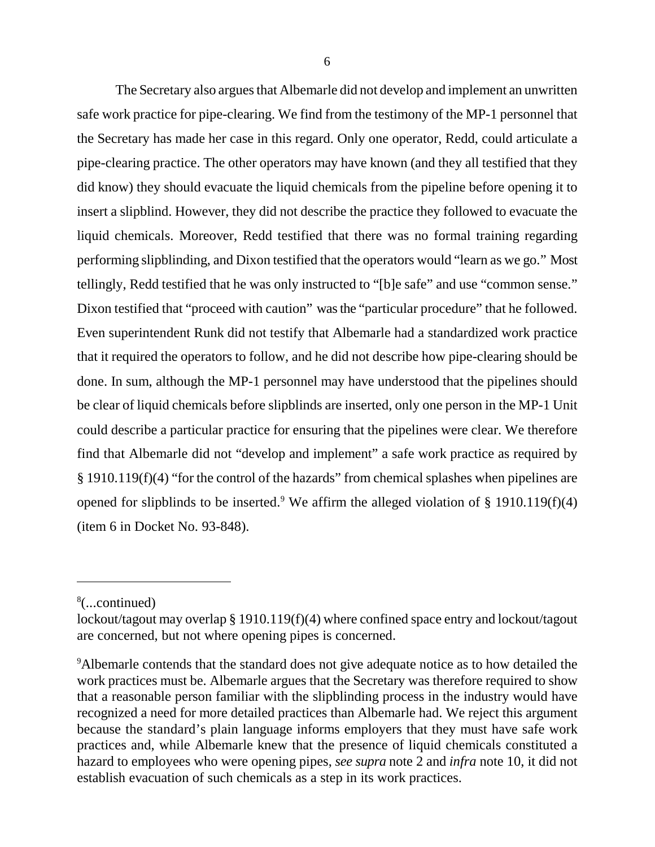The Secretary also argues that Albemarle did not develop and implement an unwritten safe work practice for pipe-clearing. We find from the testimony of the MP-1 personnel that the Secretary has made her case in this regard. Only one operator, Redd, could articulate a pipe-clearing practice. The other operators may have known (and they all testified that they did know) they should evacuate the liquid chemicals from the pipeline before opening it to insert a slipblind. However, they did not describe the practice they followed to evacuate the liquid chemicals. Moreover, Redd testified that there was no formal training regarding performing slipblinding, and Dixon testified that the operators would "learn as we go." Most tellingly, Redd testified that he was only instructed to "[b]e safe" and use "common sense." Dixon testified that "proceed with caution" was the "particular procedure" that he followed. Even superintendent Runk did not testify that Albemarle had a standardized work practice that it required the operators to follow, and he did not describe how pipe-clearing should be done. In sum, although the MP-1 personnel may have understood that the pipelines should be clear of liquid chemicals before slipblinds are inserted, only one person in the MP-1 Unit could describe a particular practice for ensuring that the pipelines were clear. We therefore find that Albemarle did not "develop and implement" a safe work practice as required by § 1910.119(f)(4) "for the control of the hazards" from chemical splashes when pipelines are opened for slipblinds to be inserted.<sup>9</sup> We affirm the alleged violation of § 1910.119(f)(4) (item 6 in Docket No. 93-848).

<sup>8</sup> (...continued)

lockout/tagout may overlap § 1910.119(f)(4) where confined space entry and lockout/tagout are concerned, but not where opening pipes is concerned.

<sup>&</sup>lt;sup>9</sup>Albemarle contends that the standard does not give adequate notice as to how detailed the work practices must be. Albemarle argues that the Secretary was therefore required to show that a reasonable person familiar with the slipblinding process in the industry would have recognized a need for more detailed practices than Albemarle had. We reject this argument because the standard's plain language informs employers that they must have safe work practices and, while Albemarle knew that the presence of liquid chemicals constituted a hazard to employees who were opening pipes, *see supra* note 2 and *infra* note 10, it did not establish evacuation of such chemicals as a step in its work practices.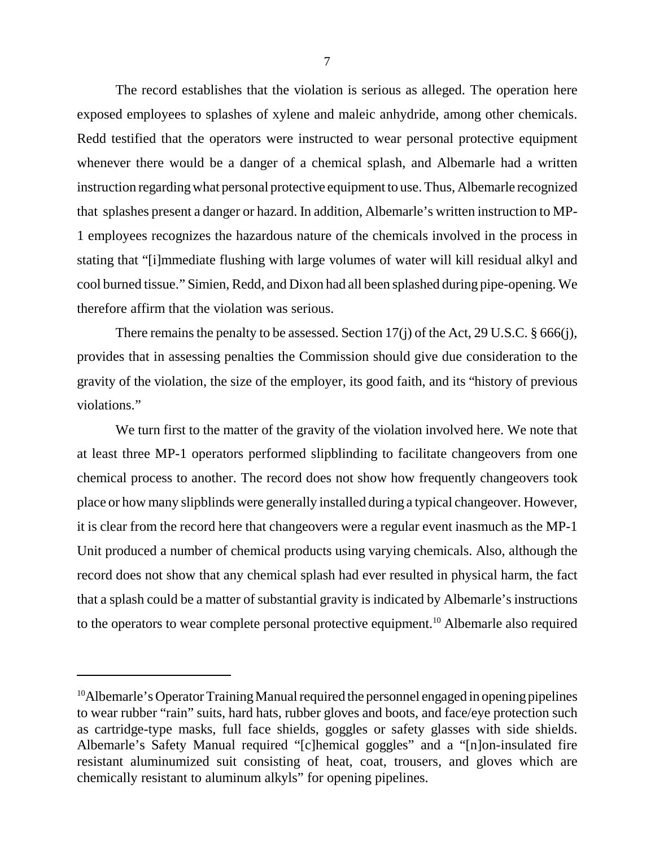The record establishes that the violation is serious as alleged. The operation here exposed employees to splashes of xylene and maleic anhydride, among other chemicals. Redd testified that the operators were instructed to wear personal protective equipment whenever there would be a danger of a chemical splash, and Albemarle had a written instruction regarding what personal protective equipment to use. Thus, Albemarle recognized that splashes present a danger or hazard. In addition, Albemarle's written instruction to MP-1 employees recognizes the hazardous nature of the chemicals involved in the process in stating that "[i]mmediate flushing with large volumes of water will kill residual alkyl and cool burned tissue." Simien, Redd, and Dixon had all been splashed during pipe-opening. We therefore affirm that the violation was serious.

There remains the penalty to be assessed. Section 17(j) of the Act, 29 U.S.C. § 666(j), provides that in assessing penalties the Commission should give due consideration to the gravity of the violation, the size of the employer, its good faith, and its "history of previous violations."

We turn first to the matter of the gravity of the violation involved here. We note that at least three MP-1 operators performed slipblinding to facilitate changeovers from one chemical process to another. The record does not show how frequently changeovers took place or how many slipblinds were generally installed during a typical changeover. However, it is clear from the record here that changeovers were a regular event inasmuch as the MP-1 Unit produced a number of chemical products using varying chemicals. Also, although the record does not show that any chemical splash had ever resulted in physical harm, the fact that a splash could be a matter of substantial gravity is indicated by Albemarle's instructions to the operators to wear complete personal protective equipment.<sup>10</sup> Albemarle also required

<sup>&</sup>lt;sup>10</sup>Albemarle's Operator Training Manual required the personnel engaged in opening pipelines to wear rubber "rain" suits, hard hats, rubber gloves and boots, and face/eye protection such as cartridge-type masks, full face shields, goggles or safety glasses with side shields. Albemarle's Safety Manual required "[c]hemical goggles" and a "[n]on-insulated fire resistant aluminumized suit consisting of heat, coat, trousers, and gloves which are chemically resistant to aluminum alkyls" for opening pipelines.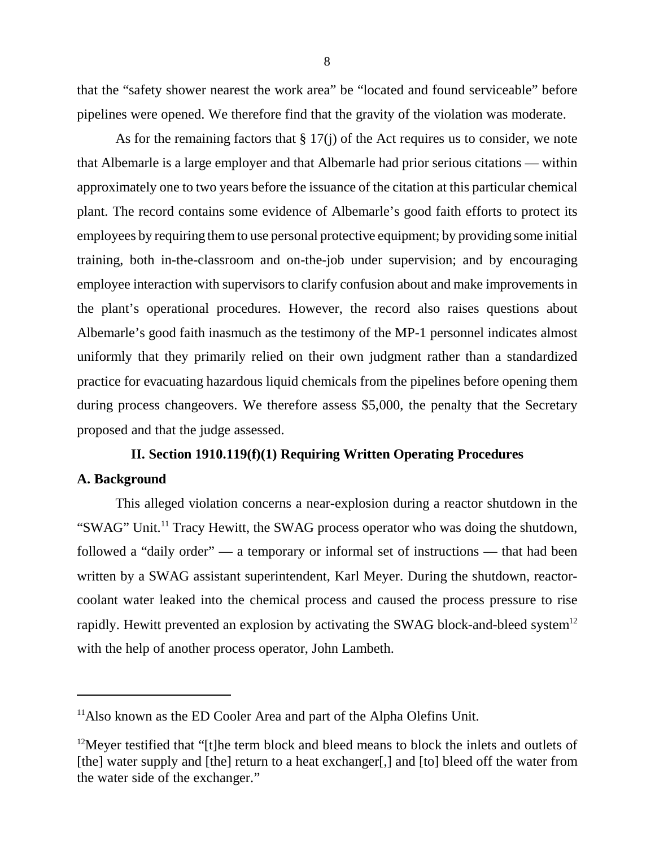that the "safety shower nearest the work area" be "located and found serviceable" before pipelines were opened. We therefore find that the gravity of the violation was moderate.

As for the remaining factors that  $\S 17(i)$  of the Act requires us to consider, we note that Albemarle is a large employer and that Albemarle had prior serious citations — within approximately one to two years before the issuance of the citation at this particular chemical plant. The record contains some evidence of Albemarle's good faith efforts to protect its employees by requiring them to use personal protective equipment; by providing some initial training, both in-the-classroom and on-the-job under supervision; and by encouraging employee interaction with supervisors to clarify confusion about and make improvements in the plant's operational procedures. However, the record also raises questions about Albemarle's good faith inasmuch as the testimony of the MP-1 personnel indicates almost uniformly that they primarily relied on their own judgment rather than a standardized practice for evacuating hazardous liquid chemicals from the pipelines before opening them during process changeovers. We therefore assess \$5,000, the penalty that the Secretary proposed and that the judge assessed.

## **II. Section 1910.119(f)(1) Requiring Written Operating Procedures**

## **A. Background**

This alleged violation concerns a near-explosion during a reactor shutdown in the "SWAG" Unit.<sup>11</sup> Tracy Hewitt, the SWAG process operator who was doing the shutdown, followed a "daily order" — a temporary or informal set of instructions — that had been written by a SWAG assistant superintendent, Karl Meyer. During the shutdown, reactorcoolant water leaked into the chemical process and caused the process pressure to rise rapidly. Hewitt prevented an explosion by activating the SWAG block-and-bleed system<sup>12</sup> with the help of another process operator, John Lambeth.

<sup>&</sup>lt;sup>11</sup>Also known as the ED Cooler Area and part of the Alpha Olefins Unit.

 $12$ Meyer testified that "[t]he term block and bleed means to block the inlets and outlets of [the] water supply and [the] return to a heat exchanger[,] and [to] bleed off the water from the water side of the exchanger."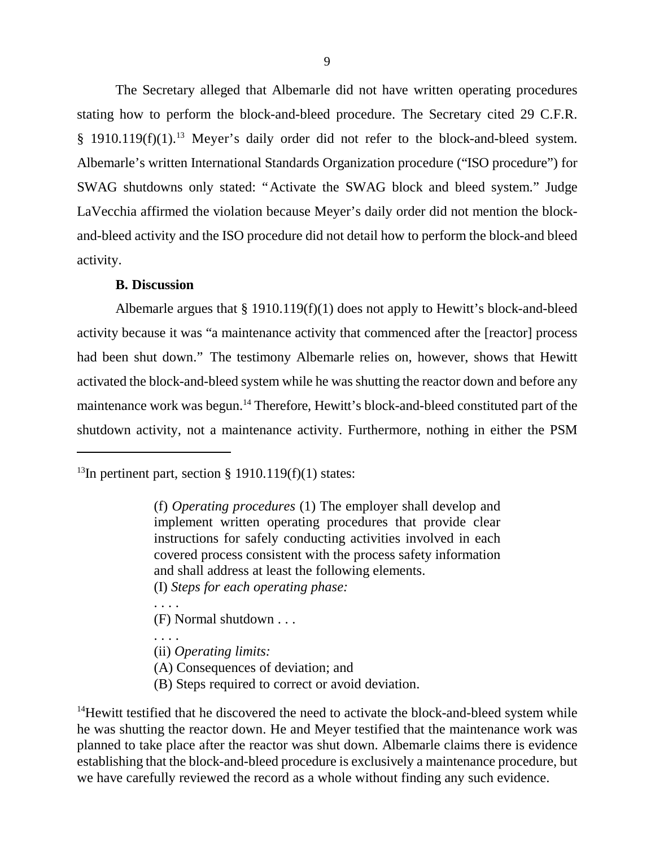The Secretary alleged that Albemarle did not have written operating procedures stating how to perform the block-and-bleed procedure. The Secretary cited 29 C.F.R. § 1910.119(f)(1).<sup>13</sup> Meyer's daily order did not refer to the block-and-bleed system. Albemarle's written International Standards Organization procedure ("ISO procedure") for SWAG shutdowns only stated: "Activate the SWAG block and bleed system." Judge LaVecchia affirmed the violation because Meyer's daily order did not mention the blockand-bleed activity and the ISO procedure did not detail how to perform the block-and bleed activity.

### **B. Discussion**

Albemarle argues that  $\S 1910.119(f)(1)$  does not apply to Hewitt's block-and-bleed activity because it was "a maintenance activity that commenced after the [reactor] process had been shut down." The testimony Albemarle relies on, however, shows that Hewitt activated the block-and-bleed system while he was shutting the reactor down and before any maintenance work was begun.<sup>14</sup> Therefore, Hewitt's block-and-bleed constituted part of the shutdown activity, not a maintenance activity. Furthermore, nothing in either the PSM

<sup>13</sup>In pertinent part, section § 1910.119(f)(1) states:

(I) *Steps for each operating phase:*

. . . .

. . . .

(F) Normal shutdown . . .

(ii) *Operating limits:*

(A) Consequences of deviation; and

(B) Steps required to correct or avoid deviation.

 $14$ Hewitt testified that he discovered the need to activate the block-and-bleed system while he was shutting the reactor down. He and Meyer testified that the maintenance work was planned to take place after the reactor was shut down. Albemarle claims there is evidence establishing that the block-and-bleed procedure is exclusively a maintenance procedure, but we have carefully reviewed the record as a whole without finding any such evidence.

<sup>(</sup>f) *Operating procedures* (1) The employer shall develop and implement written operating procedures that provide clear instructions for safely conducting activities involved in each covered process consistent with the process safety information and shall address at least the following elements.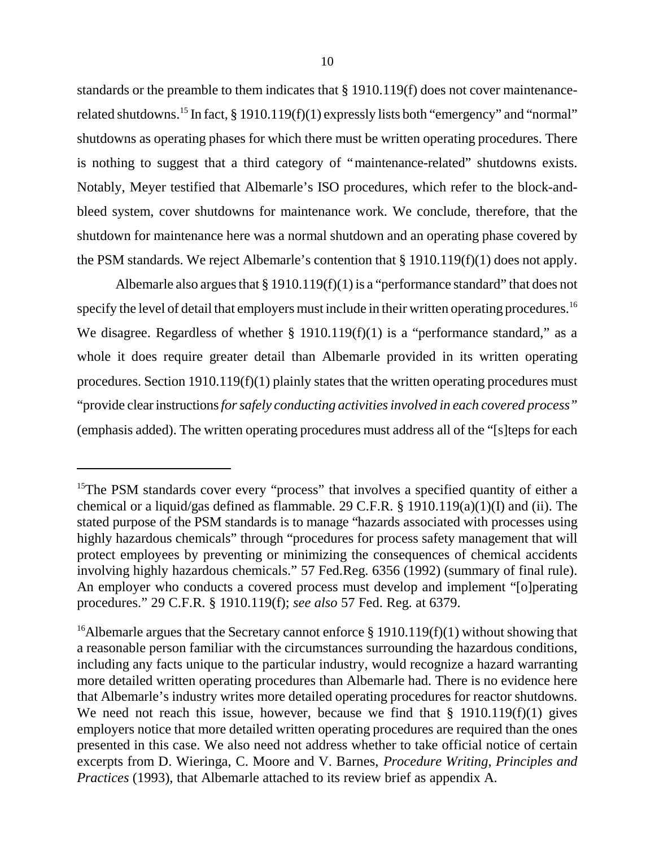standards or the preamble to them indicates that § 1910.119(f) does not cover maintenancerelated shutdowns.<sup>15</sup> In fact, § 1910.119(f)(1) expressly lists both "emergency" and "normal" shutdowns as operating phases for which there must be written operating procedures. There is nothing to suggest that a third category of "maintenance-related" shutdowns exists. Notably, Meyer testified that Albemarle's ISO procedures, which refer to the block-andbleed system, cover shutdowns for maintenance work. We conclude, therefore, that the shutdown for maintenance here was a normal shutdown and an operating phase covered by the PSM standards. We reject Albemarle's contention that § 1910.119(f)(1) does not apply.

Albemarle also argues that § 1910.119(f)(1) is a "performance standard" that does not specify the level of detail that employers must include in their written operating procedures.<sup>16</sup> We disagree. Regardless of whether § 1910.119(f)(1) is a "performance standard," as a whole it does require greater detail than Albemarle provided in its written operating procedures. Section 1910.119(f)(1) plainly states that the written operating procedures must "provide clear instructions*for safely conducting activities involved in each covered process"* (emphasis added). The written operating procedures must address all of the "[s]teps for each

<sup>&</sup>lt;sup>15</sup>The PSM standards cover every "process" that involves a specified quantity of either a chemical or a liquid/gas defined as flammable. 29 C.F.R. § 1910.119(a)(1)(I) and (ii). The stated purpose of the PSM standards is to manage "hazards associated with processes using highly hazardous chemicals" through "procedures for process safety management that will protect employees by preventing or minimizing the consequences of chemical accidents involving highly hazardous chemicals." 57 Fed.Reg. 6356 (1992) (summary of final rule). An employer who conducts a covered process must develop and implement "[o]perating procedures." 29 C.F.R. § 1910.119(f); *see also* 57 Fed. Reg. at 6379.

<sup>&</sup>lt;sup>16</sup>Albemarle argues that the Secretary cannot enforce  $\S$  1910.119(f)(1) without showing that a reasonable person familiar with the circumstances surrounding the hazardous conditions, including any facts unique to the particular industry, would recognize a hazard warranting more detailed written operating procedures than Albemarle had. There is no evidence here that Albemarle's industry writes more detailed operating procedures for reactor shutdowns. We need not reach this issue, however, because we find that § 1910.119(f)(1) gives employers notice that more detailed written operating procedures are required than the ones presented in this case. We also need not address whether to take official notice of certain excerpts from D. Wieringa, C. Moore and V. Barnes, *Procedure Writing, Principles and Practices* (1993), that Albemarle attached to its review brief as appendix A.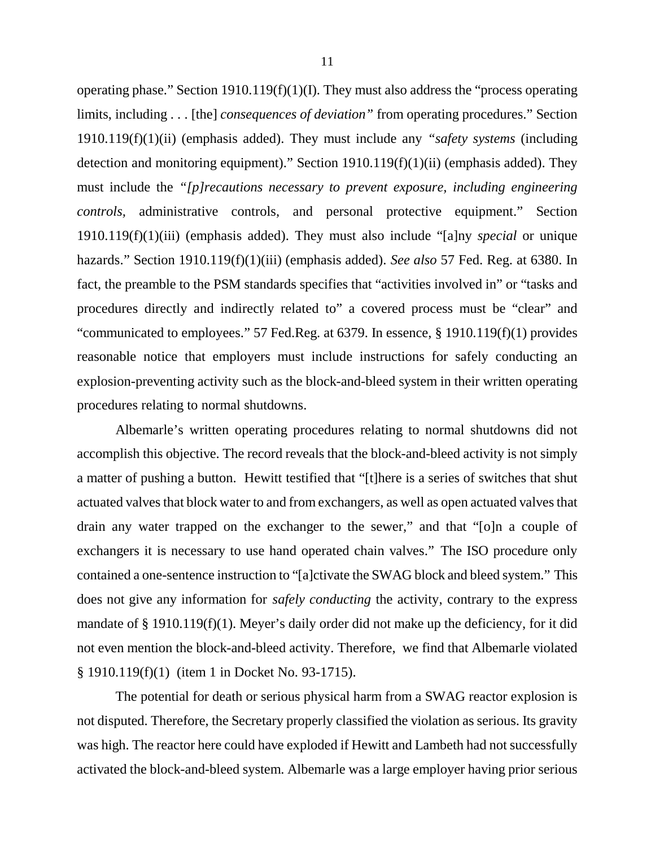operating phase." Section 1910.119(f)(1)(I). They must also address the "process operating limits, including . . . [the] *consequences of deviation"* from operating procedures." Section 1910.119(f)(1)(ii) (emphasis added). They must include any *"safety systems* (including detection and monitoring equipment)." Section 1910.119(f)(1)(ii) (emphasis added). They must include the *"[p]recautions necessary to prevent exposure, including engineering controls,* administrative controls, and personal protective equipment." Section 1910.119(f)(1)(iii) (emphasis added). They must also include "[a]ny *special* or unique hazards." Section 1910.119(f)(1)(iii) (emphasis added). *See also* 57 Fed. Reg. at 6380. In fact, the preamble to the PSM standards specifies that "activities involved in" or "tasks and procedures directly and indirectly related to" a covered process must be "clear" and "communicated to employees." 57 Fed.Reg. at 6379. In essence, § 1910.119(f)(1) provides reasonable notice that employers must include instructions for safely conducting an explosion-preventing activity such as the block-and-bleed system in their written operating procedures relating to normal shutdowns.

Albemarle's written operating procedures relating to normal shutdowns did not accomplish this objective. The record reveals that the block-and-bleed activity is not simply a matter of pushing a button. Hewitt testified that "[t]here is a series of switches that shut actuated valves that block water to and from exchangers, as well as open actuated valves that drain any water trapped on the exchanger to the sewer," and that "[o]n a couple of exchangers it is necessary to use hand operated chain valves." The ISO procedure only contained a one-sentence instruction to "[a]ctivate the SWAG block and bleed system." This does not give any information for *safely conducting* the activity, contrary to the express mandate of § 1910.119(f)(1). Meyer's daily order did not make up the deficiency, for it did not even mention the block-and-bleed activity. Therefore, we find that Albemarle violated § 1910.119(f)(1) (item 1 in Docket No. 93-1715).

The potential for death or serious physical harm from a SWAG reactor explosion is not disputed. Therefore, the Secretary properly classified the violation as serious. Its gravity was high. The reactor here could have exploded if Hewitt and Lambeth had not successfully activated the block-and-bleed system. Albemarle was a large employer having prior serious

11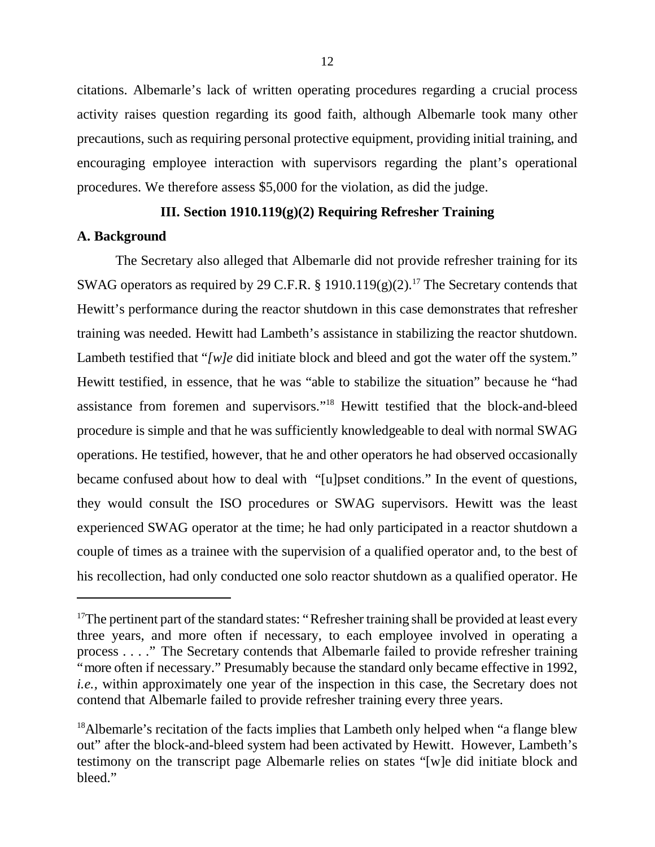citations. Albemarle's lack of written operating procedures regarding a crucial process activity raises question regarding its good faith, although Albemarle took many other precautions, such as requiring personal protective equipment, providing initial training, and encouraging employee interaction with supervisors regarding the plant's operational procedures. We therefore assess \$5,000 for the violation, as did the judge.

# **III. Section 1910.119(g)(2) Requiring Refresher Training**

### **A. Background**

The Secretary also alleged that Albemarle did not provide refresher training for its SWAG operators as required by 29 C.F.R. § 1910.119 $(g)(2)$ .<sup>17</sup> The Secretary contends that Hewitt's performance during the reactor shutdown in this case demonstrates that refresher training was needed. Hewitt had Lambeth's assistance in stabilizing the reactor shutdown. Lambeth testified that "*[w]e* did initiate block and bleed and got the water off the system." Hewitt testified, in essence, that he was "able to stabilize the situation" because he "had assistance from foremen and supervisors." <sup>18</sup> Hewitt testified that the block-and-bleed procedure is simple and that he was sufficiently knowledgeable to deal with normal SWAG operations. He testified, however, that he and other operators he had observed occasionally became confused about how to deal with "[u]pset conditions." In the event of questions, they would consult the ISO procedures or SWAG supervisors. Hewitt was the least experienced SWAG operator at the time; he had only participated in a reactor shutdown a couple of times as a trainee with the supervision of a qualified operator and, to the best of his recollection, had only conducted one solo reactor shutdown as a qualified operator. He

 $17$ The pertinent part of the standard states: "Refresher training shall be provided at least every three years, and more often if necessary, to each employee involved in operating a process . . . ." The Secretary contends that Albemarle failed to provide refresher training "more often if necessary." Presumably because the standard only became effective in 1992, *i.e.*, within approximately one year of the inspection in this case, the Secretary does not contend that Albemarle failed to provide refresher training every three years.

<sup>&</sup>lt;sup>18</sup>Albemarle's recitation of the facts implies that Lambeth only helped when "a flange blew out" after the block-and-bleed system had been activated by Hewitt. However, Lambeth's testimony on the transcript page Albemarle relies on states "[w]e did initiate block and bleed."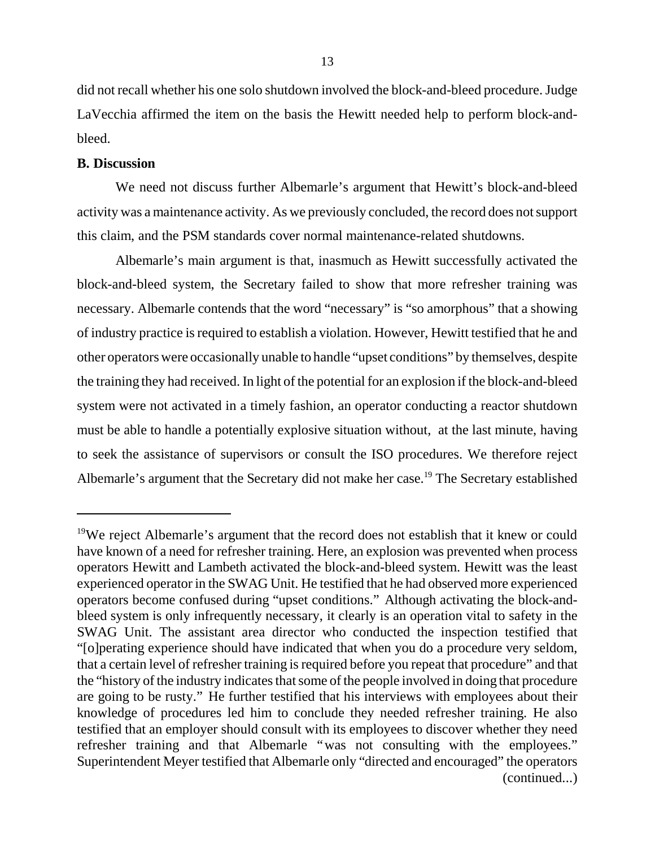did not recall whether his one solo shutdown involved the block-and-bleed procedure. Judge LaVecchia affirmed the item on the basis the Hewitt needed help to perform block-andbleed.

### **B. Discussion**

We need not discuss further Albemarle's argument that Hewitt's block-and-bleed activity was a maintenance activity. As we previously concluded, the record does not support this claim, and the PSM standards cover normal maintenance-related shutdowns.

Albemarle's main argument is that, inasmuch as Hewitt successfully activated the block-and-bleed system, the Secretary failed to show that more refresher training was necessary. Albemarle contends that the word "necessary" is "so amorphous" that a showing of industry practice is required to establish a violation. However, Hewitt testified that he and other operators were occasionally unable to handle "upset conditions" by themselves, despite the training they had received. In light of the potential for an explosion if the block-and-bleed system were not activated in a timely fashion, an operator conducting a reactor shutdown must be able to handle a potentially explosive situation without, at the last minute, having to seek the assistance of supervisors or consult the ISO procedures. We therefore reject Albemarle's argument that the Secretary did not make her case.<sup>19</sup> The Secretary established

<sup>&</sup>lt;sup>19</sup>We reject Albemarle's argument that the record does not establish that it knew or could have known of a need for refresher training. Here, an explosion was prevented when process operators Hewitt and Lambeth activated the block-and-bleed system. Hewitt was the least experienced operator in the SWAG Unit. He testified that he had observed more experienced operators become confused during "upset conditions." Although activating the block-andbleed system is only infrequently necessary, it clearly is an operation vital to safety in the SWAG Unit. The assistant area director who conducted the inspection testified that "[o]perating experience should have indicated that when you do a procedure very seldom, that a certain level of refresher training is required before you repeat that procedure" and that the "history of the industry indicates that some of the people involved in doing that procedure are going to be rusty." He further testified that his interviews with employees about their knowledge of procedures led him to conclude they needed refresher training. He also testified that an employer should consult with its employees to discover whether they need refresher training and that Albemarle "was not consulting with the employees." Superintendent Meyer testified that Albemarle only "directed and encouraged" the operators (continued...)